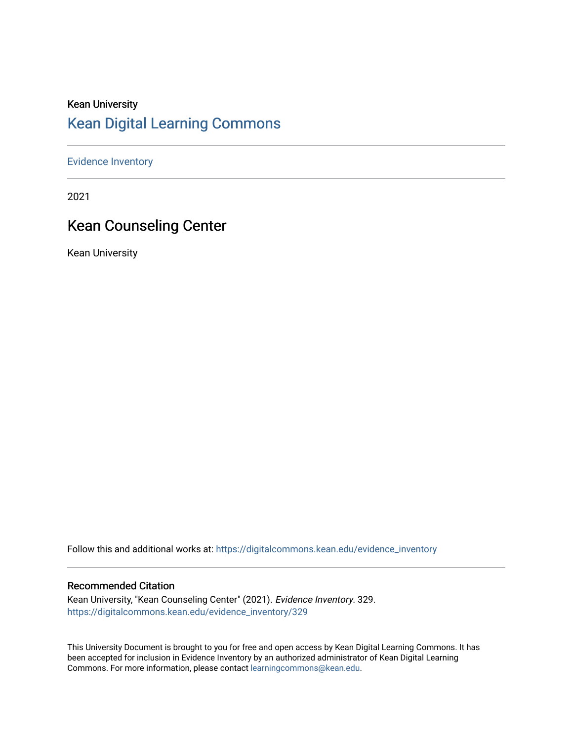### Kean University [Kean Digital Learning Commons](https://digitalcommons.kean.edu/)

[Evidence Inventory](https://digitalcommons.kean.edu/evidence_inventory) 

2021

### Kean Counseling Center

Kean University

Follow this and additional works at: [https://digitalcommons.kean.edu/evidence\\_inventory](https://digitalcommons.kean.edu/evidence_inventory?utm_source=digitalcommons.kean.edu%2Fevidence_inventory%2F329&utm_medium=PDF&utm_campaign=PDFCoverPages)

#### Recommended Citation

Kean University, "Kean Counseling Center" (2021). Evidence Inventory. 329. [https://digitalcommons.kean.edu/evidence\\_inventory/329](https://digitalcommons.kean.edu/evidence_inventory/329?utm_source=digitalcommons.kean.edu%2Fevidence_inventory%2F329&utm_medium=PDF&utm_campaign=PDFCoverPages)

This University Document is brought to you for free and open access by Kean Digital Learning Commons. It has been accepted for inclusion in Evidence Inventory by an authorized administrator of Kean Digital Learning Commons. For more information, please contact [learningcommons@kean.edu.](mailto:learningcommons@kean.edu)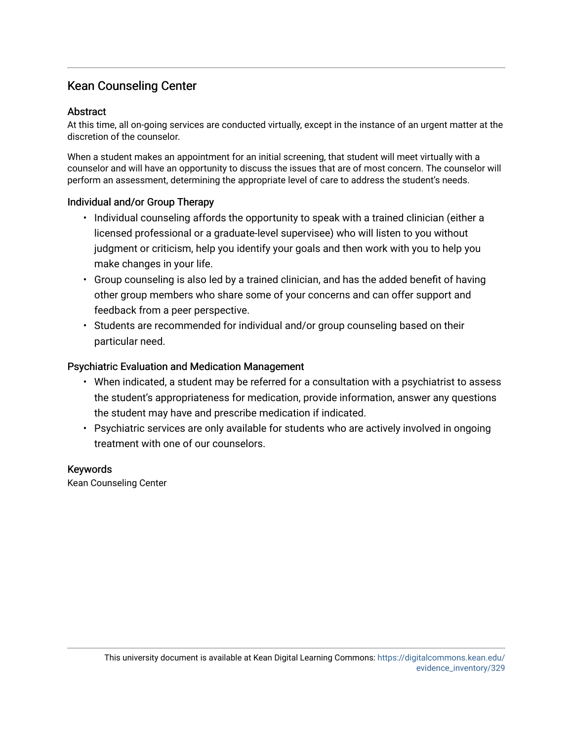### Kean Counseling Center

### Abstract

At this time, all on-going services are conducted virtually, except in the instance of an urgent matter at the discretion of the counselor.

When a student makes an appointment for an initial screening, that student will meet virtually with a counselor and will have an opportunity to discuss the issues that are of most concern. The counselor will perform an assessment, determining the appropriate level of care to address the student's needs.

### Individual and/or Group Therapy

- Individual counseling affords the opportunity to speak with a trained clinician (either a licensed professional or a graduate-level supervisee) who will listen to you without judgment or criticism, help you identify your goals and then work with you to help you make changes in your life.
- Group counseling is also led by a trained clinician, and has the added benefit of having other group members who share some of your concerns and can offer support and feedback from a peer perspective.
- Students are recommended for individual and/or group counseling based on their particular need.

### Psychiatric Evaluation and Medication Management

- When indicated, a student may be referred for a consultation with a psychiatrist to assess the student's appropriateness for medication, provide information, answer any questions the student may have and prescribe medication if indicated.
- Psychiatric services are only available for students who are actively involved in ongoing treatment with one of our counselors.

#### Keywords

Kean Counseling Center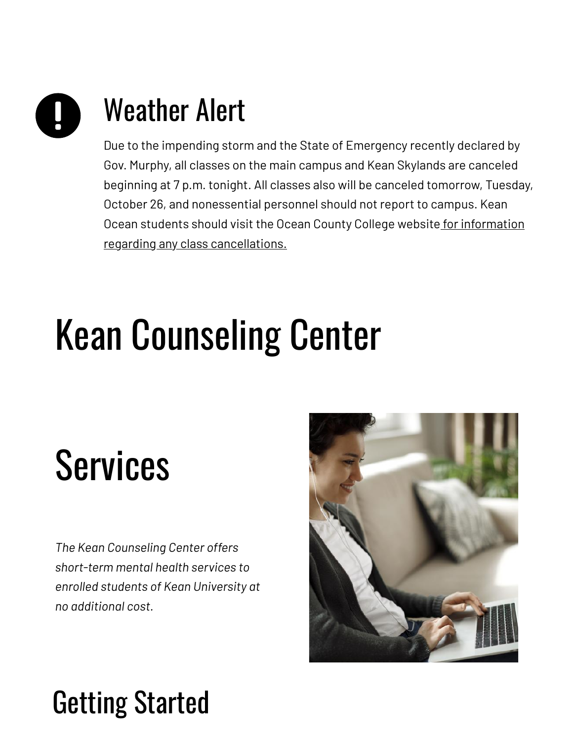# Weather Alert

Due to the impending storm and the State of Emergency recently declared by Gov. Murphy, all classes on the main campus and Kean Skylands are canceled beginning at 7 p.m. tonight. All classes also will be canceled tomorrow, Tuesday, October 26, and nonessential personnel should not report to campus. Kean Ocean students should visit the Ocean County College website for information regarding any class [cancellations.](https://www.ocean.edu/)

# Kean Counseling Center

## Services

*The Kean Counseling Center offers short-term mental health services to enrolled students of Kean University at no additional cost.*



## Getting Started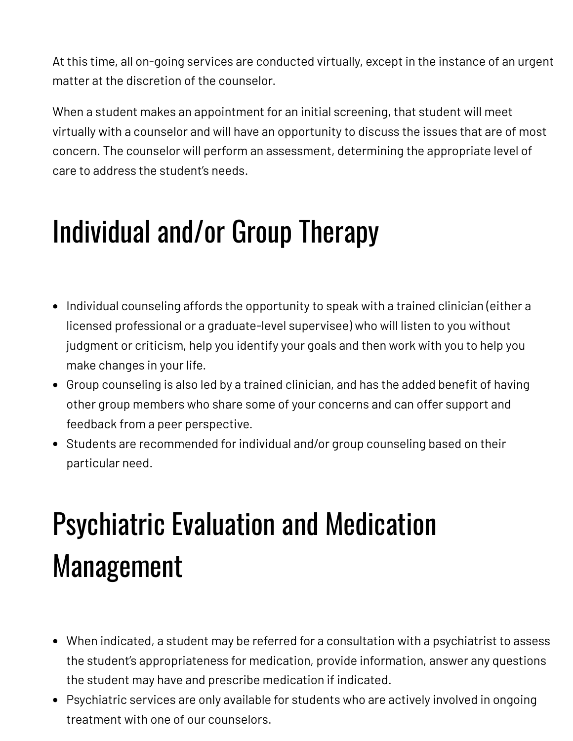At this time, all on-going services are conducted virtually, except in the instance of an urgent matter at the discretion of the counselor.

When a student makes an appointment for an initial screening, that student will meet virtually with a counselor and will have an opportunity to discuss the issues that are of most concern. The counselor will perform an assessment, determining the appropriate level of care to address the student's needs.

## Individual and/or Group Therapy

- Individual counseling affords the opportunity to speak with a trained clinician (either a licensed professional or a graduate-level supervisee) who will listen to you without judgment or criticism, help you identify your goals and then work with you to help you make changes in your life.
- Group counseling is also led by a trained clinician, and has the added benefit of having other group members who share some of your concerns and can offer support and feedback from a peer perspective.
- Students are recommended for individual and/or group counseling based on their particular need.

## Psychiatric Evaluation and Medication Management

- When indicated, a student may be referred for a consultation with a psychiatrist to assess the student's appropriateness for medication, provide information, answer any questions the student may have and prescribe medication if indicated.
- Psychiatric services are only available for students who are actively involved in ongoing treatment with one of our counselors.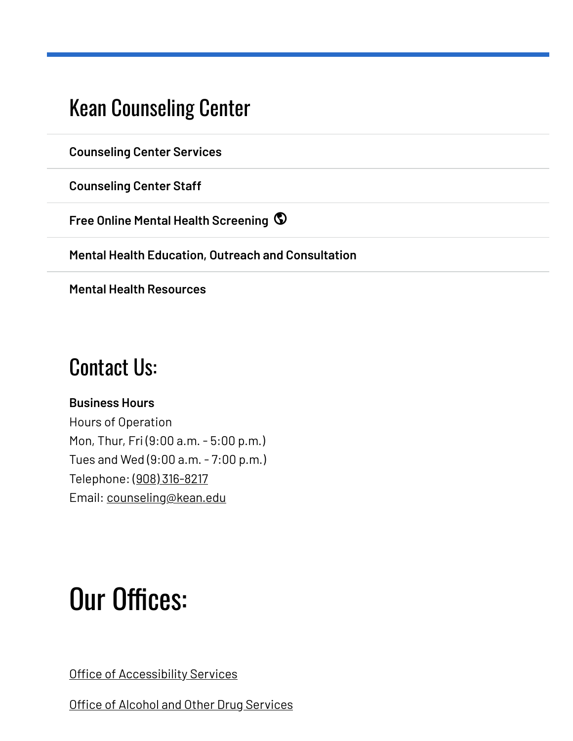### Kean [Counseling](https://www.kean.edu/offices/counseling-center) Center

**[Counseling](https://www.kean.edu/offices/counseling-center/counseling-center-services) Center Services**

**[Counseling](https://www.kean.edu/offices/counseling-center/counseling-center-staff) Center Staff**

**Free Online Mental Health [Screening](https://www.kean.edu/redirect/free-online-mental-health-screening)**

**Mental Health Education, Outreach and [Consultation](https://www.kean.edu/offices/counseling-center/mental-health-education-outreach-and-consultation)**

**Mental Health [Resources](https://www.kean.edu/offices/counseling-center/mental-health-resources)**

### Contact Us:

### **Business Hours**

Hours of Operation Mon, Thur, Fri (9:00 a.m. - 5:00 p.m.) Tues and Wed (9:00 a.m. - 7:00 p.m.) Telephone: (908) [316-8217](tel:%28908%29316-8217) Email: [counseling@kean.edu](mailto:counseling@kean.edu)

### Our Offices:

Office of [Accessibility](https://www.kean.edu/offices/office-counseling-accessibility-alcohol-and-other-drug-services/office-accessibility) Services

Office of Alcohol and Other Drug [Services](https://www.kean.edu/offices/office-counseling-accessibility-alcohol-and-other-drug-services/alcohol-and-other-drug)